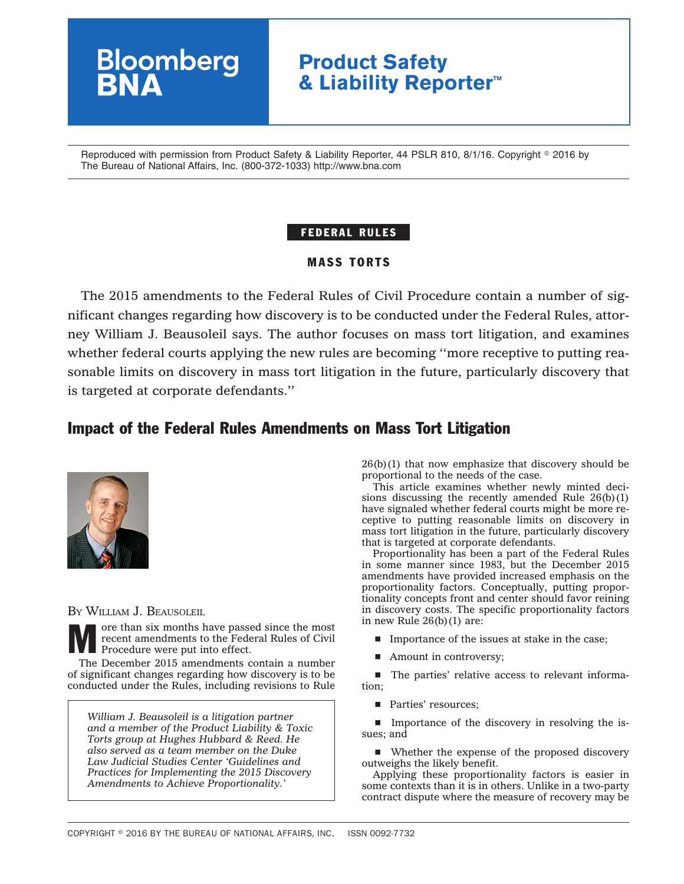# **Bloomberg Product Safety & Liability Reporter™**

Reproduced with permission from Product Safety & Liability Reporter, 44 PSLR 810, 8/1/16. Copyright © 2016 by The Bureau of National Affairs, Inc. (800-372-1033) http://www.bna.com

### FEDERAL RULES

#### MASS TORTS

The 2015 amendments to the Federal Rules of Civil Procedure contain a number of significant changes regarding how discovery is to be conducted under the Federal Rules, attorney William J. Beausoleil says. The author focuses on mass tort litigation, and examines whether federal courts applying the new rules are becoming ''more receptive to putting reasonable limits on discovery in mass tort litigation in the future, particularly discovery that is targeted at corporate defendants.''

## Impact of the Federal Rules Amendments on Mass Tort Litigation



BY WILLIAM J. BEAUSOLEIL

ore than six months have passed since the most recent amendments to the Federal Rules of Civil Procedure were put into effect.

The December 2015 amendments contain a number of significant changes regarding how discovery is to be conducted under the Rules, including revisions to Rule

*William J. Beausoleil is a litigation partner and a member of the Product Liability & Toxic Torts group at Hughes Hubbard & Reed. He also served as a team member on the Duke Law Judicial Studies Center 'Guidelines and Practices for Implementing the 2015 Discovery Amendments to Achieve Proportionality.'*

 $26(b)(1)$  that now emphasize that discovery should be proportional to the needs of the case.

This article examines whether newly minted decisions discussing the recently amended Rule  $26(b)(1)$ have signaled whether federal courts might be more receptive to putting reasonable limits on discovery in mass tort litigation in the future, particularly discovery that is targeted at corporate defendants.

Proportionality has been a part of the Federal Rules in some manner since 1983, but the December 2015 amendments have provided increased emphasis on the proportionality factors. Conceptually, putting proportionality concepts front and center should favor reining in discovery costs. The specific proportionality factors in new Rule  $26(b)(1)$  are:

- $\blacksquare$  Importance of the issues at stake in the case;
- $\blacksquare$  Amount in controversy;

 $\blacksquare$  The parties' relative access to relevant information;

**Parties' resources:** 

**IMPOREGO** In property in resolving the issues; and

■ Whether the expense of the proposed discovery outweighs the likely benefit.

Applying these proportionality factors is easier in some contexts than it is in others. Unlike in a two-party contract dispute where the measure of recovery may be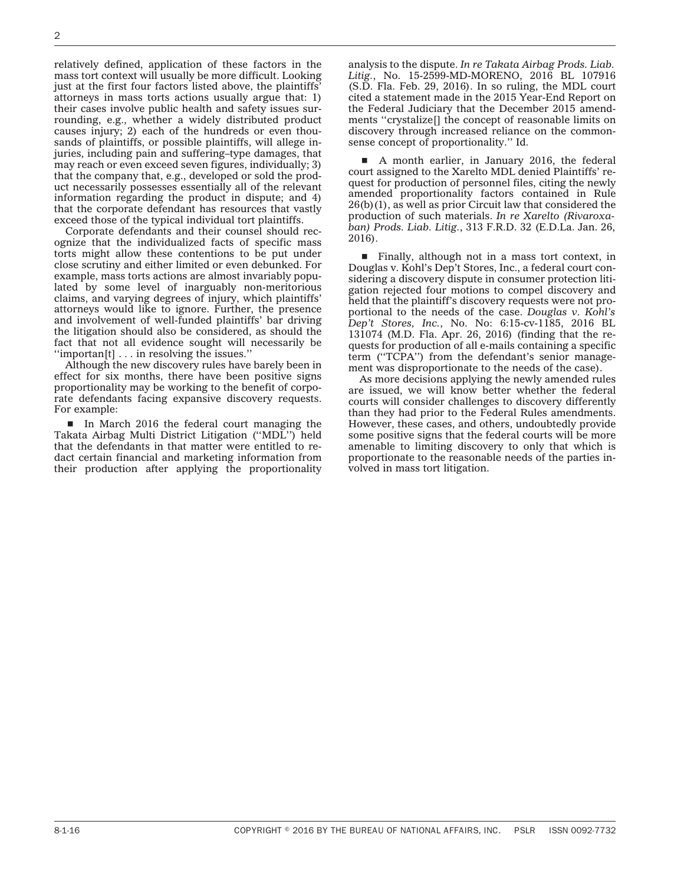relatively defined, application of these factors in the mass tort context will usually be more difficult. Looking just at the first four factors listed above, the plaintiffs' attorneys in mass torts actions usually argue that: 1) their cases involve public health and safety issues surrounding, e.g., whether a widely distributed product causes injury; 2) each of the hundreds or even thousands of plaintiffs, or possible plaintiffs, will allege injuries, including pain and suffering–type damages, that may reach or even exceed seven figures, individually; 3) that the company that, e.g., developed or sold the product necessarily possesses essentially all of the relevant information regarding the product in dispute; and 4) that the corporate defendant has resources that vastly exceed those of the typical individual tort plaintiffs.

Corporate defendants and their counsel should recognize that the individualized facts of specific mass torts might allow these contentions to be put under close scrutiny and either limited or even debunked. For example, mass torts actions are almost invariably populated by some level of inarguably non-meritorious claims, and varying degrees of injury, which plaintiffs' attorneys would like to ignore. Further, the presence and involvement of well-funded plaintiffs' bar driving the litigation should also be considered, as should the fact that not all evidence sought will necessarily be  $\lq$ "importan $\lbrack \lbrack \cdot \cdot \cdot \rbrack$  in resolving the issues."

Although the new discovery rules have barely been in effect for six months, there have been positive signs proportionality may be working to the benefit of corporate defendants facing expansive discovery requests. For example:

In March 2016 the federal court managing the Takata Airbag Multi District Litigation (''MDL'') held that the defendants in that matter were entitled to redact certain financial and marketing information from their production after applying the proportionality

analysis to the dispute. *In re Takata Airbag Prods. Liab. Litig.*, No. 15-2599-MD-MORENO, 2016 BL 107916 (S.D. Fla. Feb. 29, 2016). In so ruling, the MDL court cited a statement made in the 2015 Year-End Report on the Federal Judiciary that the December 2015 amendments ''crystalize[] the concept of reasonable limits on discovery through increased reliance on the commonsense concept of proportionality.'' Id.

A month earlier, in January 2016, the federal court assigned to the Xarelto MDL denied Plaintiffs' request for production of personnel files, citing the newly amended proportionality factors contained in Rule 26(b)(1), as well as prior Circuit law that considered the production of such materials. *In re Xarelto (Rivaroxaban) Prods. Liab. Litig.*, 313 F.R.D. 32 (E.D.La. Jan. 26, 2016).

 $\blacksquare$  Finally, although not in a mass tort context, in Douglas v. Kohl's Dep't Stores, Inc., a federal court considering a discovery dispute in consumer protection litigation rejected four motions to compel discovery and held that the plaintiff's discovery requests were not proportional to the needs of the case. *Douglas v. Kohl's Dep't Stores, Inc.*, No. No: 6:15-cv-1185, 2016 BL 131074 (M.D. Fla. Apr. 26, 2016) (finding that the requests for production of all e-mails containing a specific term (''TCPA'') from the defendant's senior management was disproportionate to the needs of the case).

As more decisions applying the newly amended rules are issued, we will know better whether the federal courts will consider challenges to discovery differently than they had prior to the Federal Rules amendments. However, these cases, and others, undoubtedly provide some positive signs that the federal courts will be more amenable to limiting discovery to only that which is proportionate to the reasonable needs of the parties involved in mass tort litigation.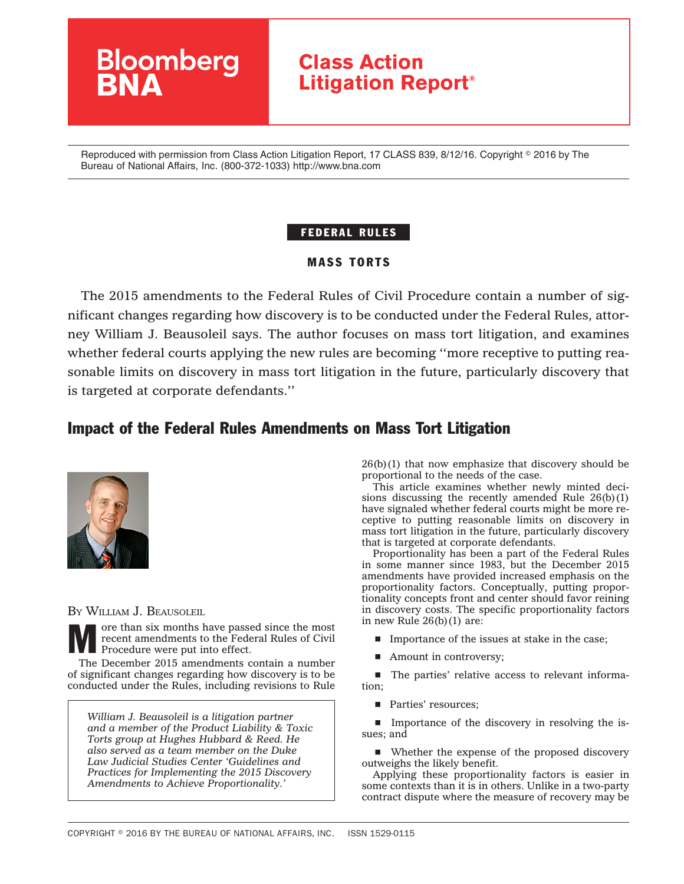# **Bloomberg Class Action Litigation Report®**

Reproduced with permission from Class Action Litigation Report, 17 CLASS 839, 8/12/16. Copyright © 2016 by The Bureau of National Affairs, Inc. (800-372-1033) http://www.bna.com

### FEDERAL RULES

#### MASS TORTS

The 2015 amendments to the Federal Rules of Civil Procedure contain a number of significant changes regarding how discovery is to be conducted under the Federal Rules, attorney William J. Beausoleil says. The author focuses on mass tort litigation, and examines whether federal courts applying the new rules are becoming ''more receptive to putting reasonable limits on discovery in mass tort litigation in the future, particularly discovery that is targeted at corporate defendants.''

## Impact of the Federal Rules Amendments on Mass Tort Litigation



BY WILLIAM J. BEAUSOLEIL

ore than six months have passed since the most recent amendments to the Federal Rules of Civil Procedure were put into effect.

The December 2015 amendments contain a number of significant changes regarding how discovery is to be conducted under the Rules, including revisions to Rule

*William J. Beausoleil is a litigation partner and a member of the Product Liability & Toxic Torts group at Hughes Hubbard & Reed. He also served as a team member on the Duke Law Judicial Studies Center 'Guidelines and Practices for Implementing the 2015 Discovery Amendments to Achieve Proportionality.'*

 $26(b)(1)$  that now emphasize that discovery should be proportional to the needs of the case.

This article examines whether newly minted decisions discussing the recently amended Rule  $26(b)(1)$ have signaled whether federal courts might be more receptive to putting reasonable limits on discovery in mass tort litigation in the future, particularly discovery that is targeted at corporate defendants.

Proportionality has been a part of the Federal Rules in some manner since 1983, but the December 2015 amendments have provided increased emphasis on the proportionality factors. Conceptually, putting proportionality concepts front and center should favor reining in discovery costs. The specific proportionality factors in new Rule  $26(b)(1)$  are:

- $\blacksquare$  Importance of the issues at stake in the case;
- $\blacksquare$  Amount in controversy;

 $\blacksquare$  The parties' relative access to relevant information;

**Parties' resources:** 

**IMPOREGO** In property in resolving the issues; and

■ Whether the expense of the proposed discovery outweighs the likely benefit.

Applying these proportionality factors is easier in some contexts than it is in others. Unlike in a two-party contract dispute where the measure of recovery may be